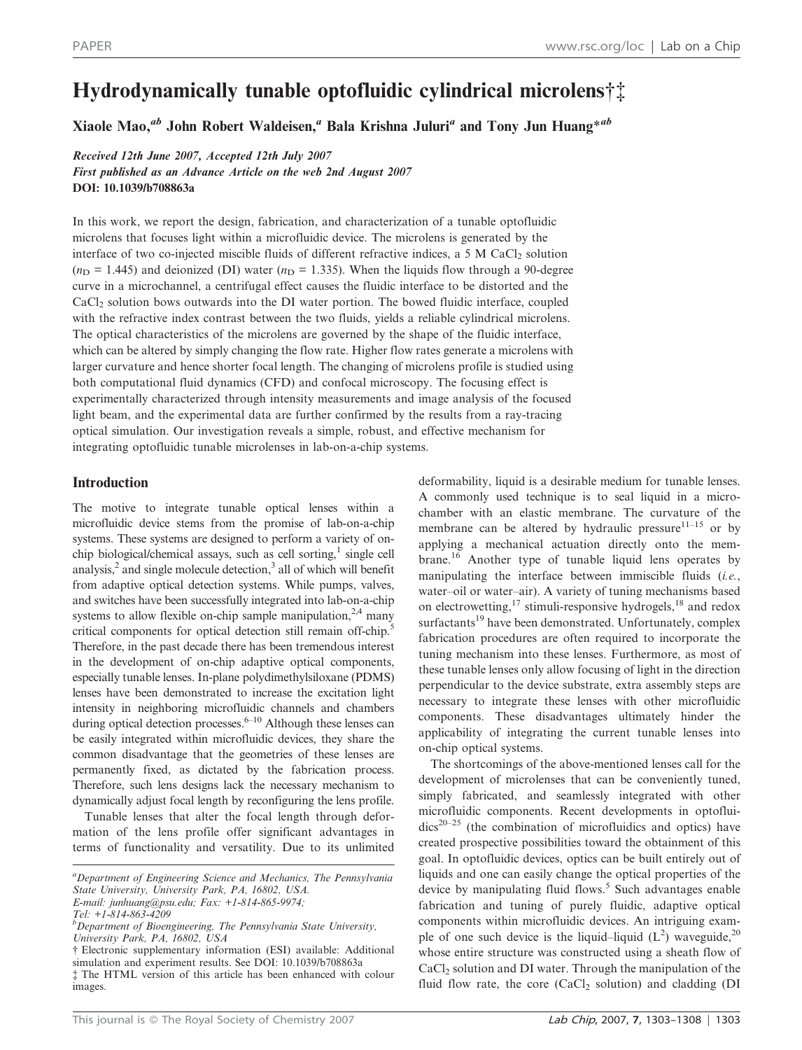# Hydrodynamically tunable optofluidic cylindrical microlens† ${\ddagger}$

Xiaole Mao,<sup>ab</sup> John Robert Waldeisen,<sup>a</sup> Bala Krishna Juluri<sup>a</sup> and Tony Jun Huang<sup>\*ab</sup>

Received 12th June 2007, Accepted 12th July 2007 First published as an Advance Article on the web 2nd August 2007 DOI: 10.1039/b708863a

In this work, we report the design, fabrication, and characterization of a tunable optofluidic microlens that focuses light within a microfluidic device. The microlens is generated by the interface of two co-injected miscible fluids of different refractive indices, a  $5 \text{ M }$  CaCl<sub>2</sub> solution  $(n_D = 1.445)$  and deionized (DI) water  $(n_D = 1.335)$ . When the liquids flow through a 90-degree curve in a microchannel, a centrifugal effect causes the fluidic interface to be distorted and the CaCl2 solution bows outwards into the DI water portion. The bowed fluidic interface, coupled with the refractive index contrast between the two fluids, yields a reliable cylindrical microlens. The optical characteristics of the microlens are governed by the shape of the fluidic interface, which can be altered by simply changing the flow rate. Higher flow rates generate a microlens with larger curvature and hence shorter focal length. The changing of microlens profile is studied using both computational fluid dynamics (CFD) and confocal microscopy. The focusing effect is experimentally characterized through intensity measurements and image analysis of the focused light beam, and the experimental data are further confirmed by the results from a ray-tracing optical simulation. Our investigation reveals a simple, robust, and effective mechanism for integrating optofluidic tunable microlenses in lab-on-a-chip systems.

# Introduction

The motive to integrate tunable optical lenses within a microfluidic device stems from the promise of lab-on-a-chip systems. These systems are designed to perform a variety of onchip biological/chemical assays, such as cell sorting, $\frac{1}{2}$  single cell analysis, $<sup>2</sup>$  and single molecule detection, $<sup>3</sup>$  all of which will benefit</sup></sup> from adaptive optical detection systems. While pumps, valves, and switches have been successfully integrated into lab-on-a-chip systems to allow flexible on-chip sample manipulation,  $2,4$  many critical components for optical detection still remain off-chip.<sup>5</sup> Therefore, in the past decade there has been tremendous interest in the development of on-chip adaptive optical components, especially tunable lenses. In-plane polydimethylsiloxane (PDMS) lenses have been demonstrated to increase the excitation light intensity in neighboring microfluidic channels and chambers during optical detection processes.<sup> $6-10$ </sup> Although these lenses can be easily integrated within microfluidic devices, they share the common disadvantage that the geometries of these lenses are permanently fixed, as dictated by the fabrication process. Therefore, such lens designs lack the necessary mechanism to dynamically adjust focal length by reconfiguring the lens profile.

Tunable lenses that alter the focal length through deformation of the lens profile offer significant advantages in terms of functionality and versatility. Due to its unlimited

Tel: +1-814-863-4209

deformability, liquid is a desirable medium for tunable lenses. A commonly used technique is to seal liquid in a microchamber with an elastic membrane. The curvature of the membrane can be altered by hydraulic pressure $11-15$  or by applying a mechanical actuation directly onto the membrane.16 Another type of tunable liquid lens operates by manipulating the interface between immiscible fluids (i.e., water–oil or water–air). A variety of tuning mechanisms based on electrowetting,  $17 \text{ stimuli-responsive hydrogels}, 18 \text{ and redox}$ surfactants<sup>19</sup> have been demonstrated. Unfortunately, complex fabrication procedures are often required to incorporate the tuning mechanism into these lenses. Furthermore, as most of these tunable lenses only allow focusing of light in the direction perpendicular to the device substrate, extra assembly steps are necessary to integrate these lenses with other microfluidic components. These disadvantages ultimately hinder the applicability of integrating the current tunable lenses into on-chip optical systems.

The shortcomings of the above-mentioned lenses call for the development of microlenses that can be conveniently tuned, simply fabricated, and seamlessly integrated with other microfluidic components. Recent developments in optoflui $dics<sup>20-25</sup>$  (the combination of microfluidics and optics) have created prospective possibilities toward the obtainment of this goal. In optofluidic devices, optics can be built entirely out of liquids and one can easily change the optical properties of the device by manipulating fluid flows.<sup>5</sup> Such advantages enable fabrication and tuning of purely fluidic, adaptive optical components within microfluidic devices. An intriguing example of one such device is the liquid–liquid  $(L^2)$  waveguide,<sup>20</sup> whose entire structure was constructed using a sheath flow of CaCl<sub>2</sub> solution and DI water. Through the manipulation of the fluid flow rate, the core  $(CaCl<sub>2</sub>$  solution) and cladding (DI

<sup>&</sup>lt;sup>a</sup>Department of Engineering Science and Mechanics, The Pennsylvania State University, University Park, PA, 16802, USA. E-mail: junhuang@psu.edu; Fax: +1-814-865-9974;

<sup>&</sup>lt;sup>b</sup>Department of Bioengineering, The Pennsylvania State University, University Park, PA, 16802, USA

<sup>{</sup> Electronic supplementary information (ESI) available: Additional simulation and experiment results. See DOI: 10.1039/b708863a { The HTML version of this article has been enhanced with colour images.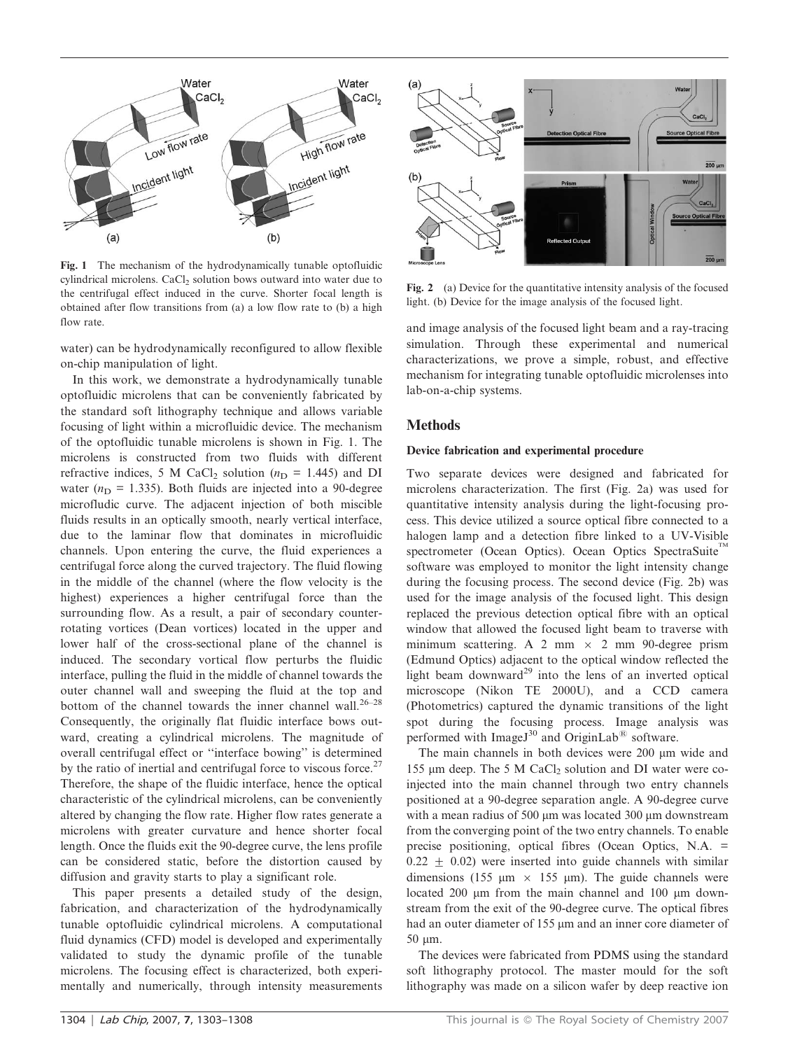

Fig. 1 The mechanism of the hydrodynamically tunable optofluidic cylindrical microlens. CaCl<sub>2</sub> solution bows outward into water due to the centrifugal effect induced in the curve. Shorter focal length is obtained after flow transitions from (a) a low flow rate to (b) a high flow rate.

water) can be hydrodynamically reconfigured to allow flexible on-chip manipulation of light.

In this work, we demonstrate a hydrodynamically tunable optofluidic microlens that can be conveniently fabricated by the standard soft lithography technique and allows variable focusing of light within a microfluidic device. The mechanism of the optofluidic tunable microlens is shown in Fig. 1. The microlens is constructed from two fluids with different refractive indices, 5 M CaCl<sub>2</sub> solution ( $n<sub>D</sub>$  = 1.445) and DI water ( $n_D = 1.335$ ). Both fluids are injected into a 90-degree microfludic curve. The adjacent injection of both miscible fluids results in an optically smooth, nearly vertical interface, due to the laminar flow that dominates in microfluidic channels. Upon entering the curve, the fluid experiences a centrifugal force along the curved trajectory. The fluid flowing in the middle of the channel (where the flow velocity is the highest) experiences a higher centrifugal force than the surrounding flow. As a result, a pair of secondary counterrotating vortices (Dean vortices) located in the upper and lower half of the cross-sectional plane of the channel is induced. The secondary vortical flow perturbs the fluidic interface, pulling the fluid in the middle of channel towards the outer channel wall and sweeping the fluid at the top and bottom of the channel towards the inner channel wall.<sup>26-28</sup> Consequently, the originally flat fluidic interface bows outward, creating a cylindrical microlens. The magnitude of overall centrifugal effect or ''interface bowing'' is determined by the ratio of inertial and centrifugal force to viscous force.<sup>27</sup> Therefore, the shape of the fluidic interface, hence the optical characteristic of the cylindrical microlens, can be conveniently altered by changing the flow rate. Higher flow rates generate a microlens with greater curvature and hence shorter focal length. Once the fluids exit the 90-degree curve, the lens profile can be considered static, before the distortion caused by diffusion and gravity starts to play a significant role.

This paper presents a detailed study of the design, fabrication, and characterization of the hydrodynamically tunable optofluidic cylindrical microlens. A computational fluid dynamics (CFD) model is developed and experimentally validated to study the dynamic profile of the tunable microlens. The focusing effect is characterized, both experimentally and numerically, through intensity measurements



Fig. 2 (a) Device for the quantitative intensity analysis of the focused light. (b) Device for the image analysis of the focused light.

and image analysis of the focused light beam and a ray-tracing simulation. Through these experimental and numerical characterizations, we prove a simple, robust, and effective mechanism for integrating tunable optofluidic microlenses into lab-on-a-chip systems.

### **Methods**

#### Device fabrication and experimental procedure

Two separate devices were designed and fabricated for microlens characterization. The first (Fig. 2a) was used for quantitative intensity analysis during the light-focusing process. This device utilized a source optical fibre connected to a halogen lamp and a detection fibre linked to a UV-Visible spectrometer (Ocean Optics). Ocean Optics SpectraSuite<sup>TM</sup> software was employed to monitor the light intensity change during the focusing process. The second device (Fig. 2b) was used for the image analysis of the focused light. This design replaced the previous detection optical fibre with an optical window that allowed the focused light beam to traverse with minimum scattering. A 2 mm  $\times$  2 mm 90-degree prism (Edmund Optics) adjacent to the optical window reflected the light beam downward<sup>29</sup> into the lens of an inverted optical microscope (Nikon TE 2000U), and a CCD camera (Photometrics) captured the dynamic transitions of the light spot during the focusing process. Image analysis was performed with ImageJ<sup>30</sup> and OriginLab<sup>®</sup> software.

The main channels in both devices were 200 µm wide and 155  $\mu$ m deep. The 5 M CaCl<sub>2</sub> solution and DI water were coinjected into the main channel through two entry channels positioned at a 90-degree separation angle. A 90-degree curve with a mean radius of  $500 \mu m$  was located  $300 \mu m$  downstream from the converging point of the two entry channels. To enable precise positioning, optical fibres (Ocean Optics, N.A. =  $0.22 \pm 0.02$ ) were inserted into guide channels with similar dimensions (155  $\mu$ m × 155  $\mu$ m). The guide channels were located 200 µm from the main channel and 100 µm downstream from the exit of the 90-degree curve. The optical fibres had an outer diameter of 155 µm and an inner core diameter of 50 um.

The devices were fabricated from PDMS using the standard soft lithography protocol. The master mould for the soft lithography was made on a silicon wafer by deep reactive ion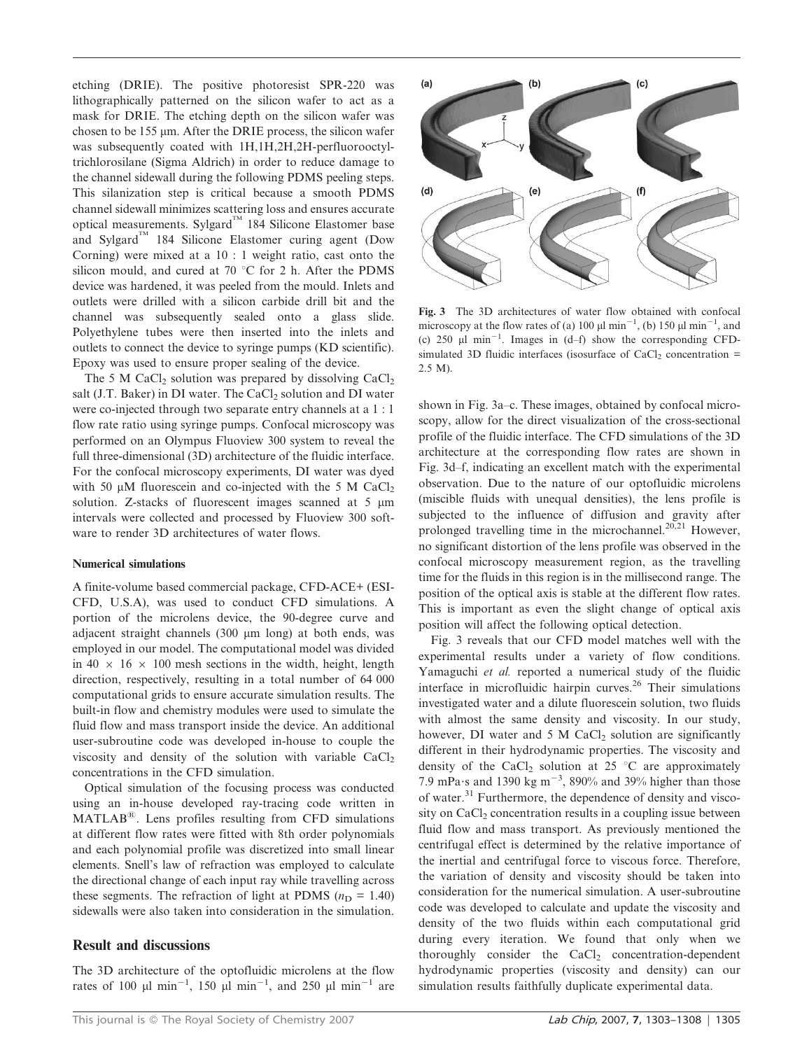etching (DRIE). The positive photoresist SPR-220 was lithographically patterned on the silicon wafer to act as a mask for DRIE. The etching depth on the silicon wafer was chosen to be  $155 \mu m$ . After the DRIE process, the silicon wafer was subsequently coated with  $1H.1H.2H.2H$ -perfluorooctyltrichlorosilane (Sigma Aldrich) in order to reduce damage to the channel sidewall during the following PDMS peeling steps. This silanization step is critical because a smooth PDMS channel sidewall minimizes scattering loss and ensures accurate optical measurements. Sylgard<sup>™</sup> 184 Silicone Elastomer base and Sylgard<sup>TM</sup> 184 Silicone Elastomer curing agent (Dow Corning) were mixed at a 10 : 1 weight ratio, cast onto the silicon mould, and cured at 70  $\degree$ C for 2 h. After the PDMS device was hardened, it was peeled from the mould. Inlets and outlets were drilled with a silicon carbide drill bit and the channel was subsequently sealed onto a glass slide. Polyethylene tubes were then inserted into the inlets and outlets to connect the device to syringe pumps (KD scientific). Epoxy was used to ensure proper sealing of the device.

The 5 M CaCl<sub>2</sub> solution was prepared by dissolving  $CaCl<sub>2</sub>$ salt (J.T. Baker) in DI water. The CaCl<sub>2</sub> solution and DI water were co-injected through two separate entry channels at a 1 : 1 flow rate ratio using syringe pumps. Confocal microscopy was performed on an Olympus Fluoview 300 system to reveal the full three-dimensional (3D) architecture of the fluidic interface. For the confocal microscopy experiments, DI water was dyed with 50  $\mu$ M fluorescein and co-injected with the 5 M CaCl<sub>2</sub> solution. Z-stacks of fluorescent images scanned at 5  $\mu$ m intervals were collected and processed by Fluoview 300 software to render 3D architectures of water flows.

#### Numerical simulations

A finite-volume based commercial package, CFD-ACE+ (ESI-CFD, U.S.A), was used to conduct CFD simulations. A portion of the microlens device, the 90-degree curve and adjacent straight channels (300  $\mu$ m long) at both ends, was employed in our model. The computational model was divided in  $40 \times 16 \times 100$  mesh sections in the width, height, length direction, respectively, resulting in a total number of 64 000 computational grids to ensure accurate simulation results. The built-in flow and chemistry modules were used to simulate the fluid flow and mass transport inside the device. An additional user-subroutine code was developed in-house to couple the viscosity and density of the solution with variable  $CaCl<sub>2</sub>$ concentrations in the CFD simulation.

Optical simulation of the focusing process was conducted using an in-house developed ray-tracing code written in  $MATLAB^{\circledR}$ . Lens profiles resulting from CFD simulations at different flow rates were fitted with 8th order polynomials and each polynomial profile was discretized into small linear elements. Snell's law of refraction was employed to calculate the directional change of each input ray while travelling across these segments. The refraction of light at PDMS ( $n_D = 1.40$ ) sidewalls were also taken into consideration in the simulation.

# Result and discussions

The 3D architecture of the optofluidic microlens at the flow rates of 100  $\mu$ l min<sup>-1</sup>, 150  $\mu$ l min<sup>-1</sup>, and 250  $\mu$ l min<sup>-1</sup> are



Fig. 3 The 3D architectures of water flow obtained with confocal microscopy at the flow rates of (a) 100  $\mu$ l min<sup>-1</sup>, (b) 150  $\mu$ l min<sup>-1</sup>, and (c)  $250 \text{ }\mu\text{l} \text{ min}^{-1}$ . Images in (d-f) show the corresponding CFDsimulated 3D fluidic interfaces (isosurface of CaCl<sub>2</sub> concentration = 2.5 M).

shown in Fig. 3a–c. These images, obtained by confocal microscopy, allow for the direct visualization of the cross-sectional profile of the fluidic interface. The CFD simulations of the 3D architecture at the corresponding flow rates are shown in Fig. 3d–f, indicating an excellent match with the experimental observation. Due to the nature of our optofluidic microlens (miscible fluids with unequal densities), the lens profile is subjected to the influence of diffusion and gravity after prolonged travelling time in the microchannel.<sup>20,21</sup> However, no significant distortion of the lens profile was observed in the confocal microscopy measurement region, as the travelling time for the fluids in this region is in the millisecond range. The position of the optical axis is stable at the different flow rates. This is important as even the slight change of optical axis position will affect the following optical detection.

Fig. 3 reveals that our CFD model matches well with the experimental results under a variety of flow conditions. Yamaguchi et al. reported a numerical study of the fluidic interface in microfluidic hairpin curves. $26$  Their simulations investigated water and a dilute fluorescein solution, two fluids with almost the same density and viscosity. In our study, however, DI water and  $5 \text{ M }$  CaCl<sub>2</sub> solution are significantly different in their hydrodynamic properties. The viscosity and density of the CaCl<sub>2</sub> solution at 25  $\degree$ C are approximately 7.9 mPa $\cdot$ s and 1390 kg m<sup>-3</sup>, 890% and 39% higher than those of water.<sup>31</sup> Furthermore, the dependence of density and viscosity on CaCl<sub>2</sub> concentration results in a coupling issue between fluid flow and mass transport. As previously mentioned the centrifugal effect is determined by the relative importance of the inertial and centrifugal force to viscous force. Therefore, the variation of density and viscosity should be taken into consideration for the numerical simulation. A user-subroutine code was developed to calculate and update the viscosity and density of the two fluids within each computational grid during every iteration. We found that only when we thoroughly consider the  $CaCl<sub>2</sub>$  concentration-dependent hydrodynamic properties (viscosity and density) can our simulation results faithfully duplicate experimental data.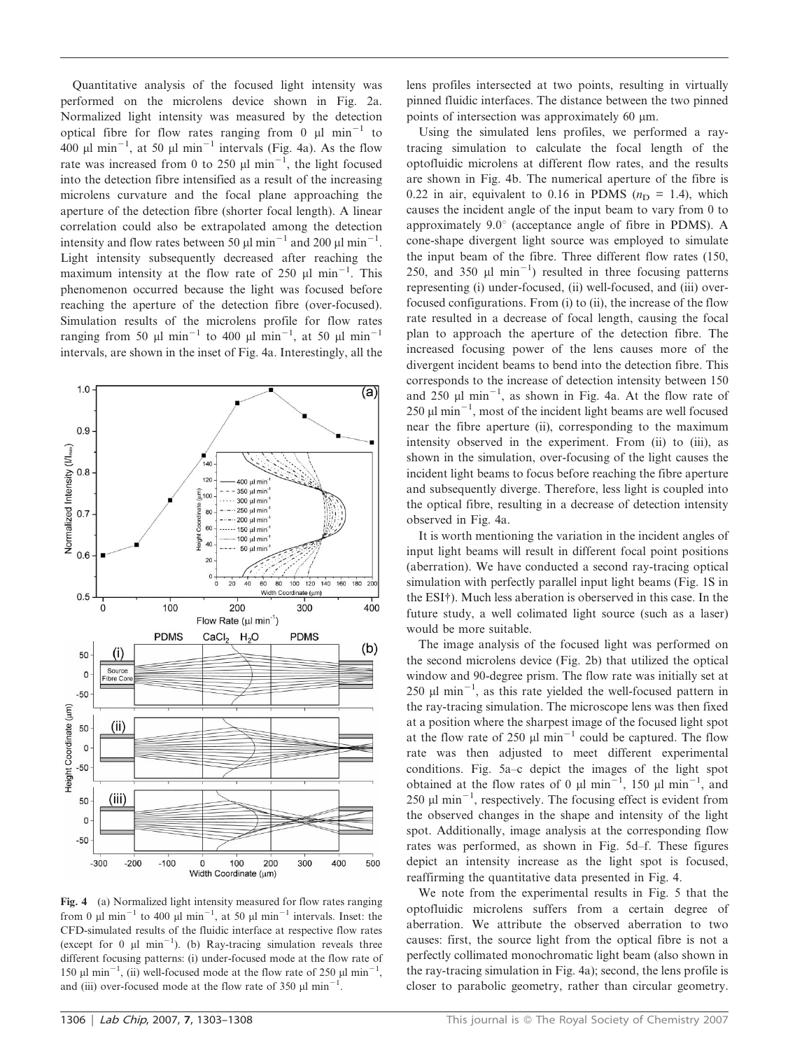Quantitative analysis of the focused light intensity was performed on the microlens device shown in Fig. 2a. Normalized light intensity was measured by the detection optical fibre for flow rates ranging from 0  $\mu$ l min<sup>-1</sup> to 400  $\mu$ l min<sup>-1</sup>, at 50  $\mu$ l min<sup>-1</sup> intervals (Fig. 4a). As the flow rate was increased from 0 to 250  $\mu$ l min<sup>-1</sup>, the light focused into the detection fibre intensified as a result of the increasing microlens curvature and the focal plane approaching the aperture of the detection fibre (shorter focal length). A linear correlation could also be extrapolated among the detection intensity and flow rates between 50  $\mu$ l min<sup>-1</sup> and 200  $\mu$ l min<sup>-1</sup>. Light intensity subsequently decreased after reaching the maximum intensity at the flow rate of 250  $\mu$ l min<sup>-1</sup>. This phenomenon occurred because the light was focused before reaching the aperture of the detection fibre (over-focused). Simulation results of the microlens profile for flow rates ranging from 50  $\mu$ l min<sup>-1</sup> to 400  $\mu$ l min<sup>-1</sup>, at 50  $\mu$ l min<sup>-1</sup> intervals, are shown in the inset of Fig. 4a. Interestingly, all the



Fig. 4 (a) Normalized light intensity measured for flow rates ranging from 0  $\mu$ l min<sup>-1</sup> to 400  $\mu$ l min<sup>-1</sup>, at 50  $\mu$ l min<sup>-1</sup> intervals. Inset: the CFD-simulated results of the fluidic interface at respective flow rates (except for 0  $\mu$ l min<sup>-1</sup>). (b) Ray-tracing simulation reveals three different focusing patterns: (i) under-focused mode at the flow rate of 150  $\mu$ l min<sup>-1</sup>, (ii) well-focused mode at the flow rate of 250  $\mu$ l min<sup>-1</sup>, and (iii) over-focused mode at the flow rate of 350  $\mu$ l min<sup>-1</sup>.

lens profiles intersected at two points, resulting in virtually pinned fluidic interfaces. The distance between the two pinned points of intersection was approximately  $60 \mu m$ .

Using the simulated lens profiles, we performed a raytracing simulation to calculate the focal length of the optofluidic microlens at different flow rates, and the results are shown in Fig. 4b. The numerical aperture of the fibre is 0.22 in air, equivalent to 0.16 in PDMS ( $n<sub>D</sub> = 1.4$ ), which causes the incident angle of the input beam to vary from 0 to approximately  $9.0^{\circ}$  (acceptance angle of fibre in PDMS). A cone-shape divergent light source was employed to simulate the input beam of the fibre. Three different flow rates (150, 250, and 350  $\mu$ l min<sup>-1</sup>) resulted in three focusing patterns representing (i) under-focused, (ii) well-focused, and (iii) overfocused configurations. From (i) to (ii), the increase of the flow rate resulted in a decrease of focal length, causing the focal plan to approach the aperture of the detection fibre. The increased focusing power of the lens causes more of the divergent incident beams to bend into the detection fibre. This corresponds to the increase of detection intensity between 150 and 250  $\mu$ l min<sup>-1</sup>, as shown in Fig. 4a. At the flow rate of  $250 \mu l \text{ min}^{-1}$ , most of the incident light beams are well focused near the fibre aperture (ii), corresponding to the maximum intensity observed in the experiment. From (ii) to (iii), as shown in the simulation, over-focusing of the light causes the incident light beams to focus before reaching the fibre aperture and subsequently diverge. Therefore, less light is coupled into the optical fibre, resulting in a decrease of detection intensity observed in Fig. 4a.

It is worth mentioning the variation in the incident angles of input light beams will result in different focal point positions (aberration). We have conducted a second ray-tracing optical simulation with perfectly parallel input light beams (Fig. 1S in the ESI<sup>†</sup>). Much less aberation is oberserved in this case. In the future study, a well colimated light source (such as a laser) would be more suitable.

The image analysis of the focused light was performed on the second microlens device (Fig. 2b) that utilized the optical window and 90-degree prism. The flow rate was initially set at 250  $\mu$ l min<sup>-1</sup>, as this rate yielded the well-focused pattern in the ray-tracing simulation. The microscope lens was then fixed at a position where the sharpest image of the focused light spot at the flow rate of 250  $\mu$ l min<sup>-1</sup> could be captured. The flow rate was then adjusted to meet different experimental conditions. Fig. 5a–c depict the images of the light spot obtained at the flow rates of 0  $\mu$ l min<sup>-1</sup>, 150  $\mu$ l min<sup>-1</sup>, and 250  $\mu$ l min<sup>-1</sup>, respectively. The focusing effect is evident from the observed changes in the shape and intensity of the light spot. Additionally, image analysis at the corresponding flow rates was performed, as shown in Fig. 5d–f. These figures depict an intensity increase as the light spot is focused, reaffirming the quantitative data presented in Fig. 4.

We note from the experimental results in Fig. 5 that the optofluidic microlens suffers from a certain degree of aberration. We attribute the observed aberration to two causes: first, the source light from the optical fibre is not a perfectly collimated monochromatic light beam (also shown in the ray-tracing simulation in Fig. 4a); second, the lens profile is closer to parabolic geometry, rather than circular geometry.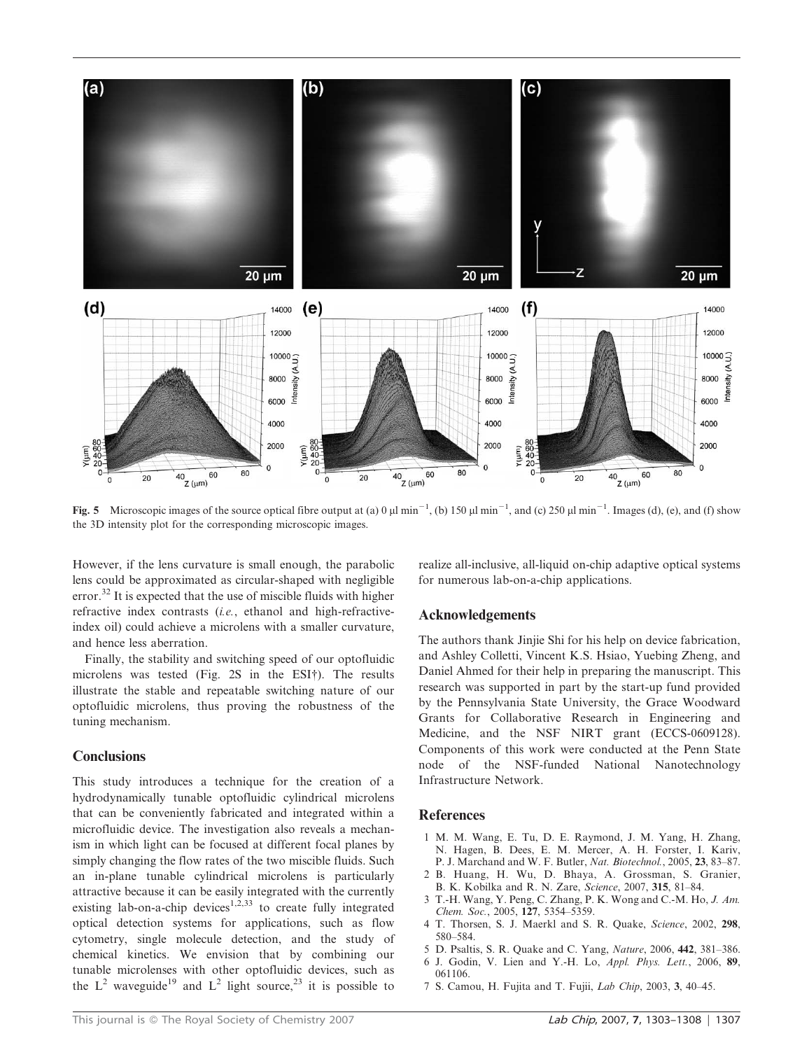

Fig. 5 Microscopic images of the source optical fibre output at (a) 0  $\mu$ l min<sup>-1</sup>, (b) 150  $\mu$ l min<sup>-1</sup>, and (c) 250  $\mu$ l min<sup>-1</sup>. Images (d), (e), and (f) show the 3D intensity plot for the corresponding microscopic images.

However, if the lens curvature is small enough, the parabolic lens could be approximated as circular-shaped with negligible error.<sup>32</sup> It is expected that the use of miscible fluids with higher refractive index contrasts (i.e., ethanol and high-refractiveindex oil) could achieve a microlens with a smaller curvature, and hence less aberration.

Finally, the stability and switching speed of our optofluidic microlens was tested (Fig. 2S in the ESI†). The results illustrate the stable and repeatable switching nature of our optofluidic microlens, thus proving the robustness of the tuning mechanism.

# **Conclusions**

This study introduces a technique for the creation of a hydrodynamically tunable optofluidic cylindrical microlens that can be conveniently fabricated and integrated within a microfluidic device. The investigation also reveals a mechanism in which light can be focused at different focal planes by simply changing the flow rates of the two miscible fluids. Such an in-plane tunable cylindrical microlens is particularly attractive because it can be easily integrated with the currently existing lab-on-a-chip devices<sup>1,2,33</sup> to create fully integrated optical detection systems for applications, such as flow cytometry, single molecule detection, and the study of chemical kinetics. We envision that by combining our tunable microlenses with other optofluidic devices, such as the  $L^2$  waveguide<sup>19</sup> and  $L^2$  light source,<sup>23</sup> it is possible to realize all-inclusive, all-liquid on-chip adaptive optical systems for numerous lab-on-a-chip applications.

# Acknowledgements

The authors thank Jinjie Shi for his help on device fabrication, and Ashley Colletti, Vincent K.S. Hsiao, Yuebing Zheng, and Daniel Ahmed for their help in preparing the manuscript. This research was supported in part by the start-up fund provided by the Pennsylvania State University, the Grace Woodward Grants for Collaborative Research in Engineering and Medicine, and the NSF NIRT grant (ECCS-0609128). Components of this work were conducted at the Penn State node of the NSF-funded National Nanotechnology Infrastructure Network.

# **References**

- 1 M. M. Wang, E. Tu, D. E. Raymond, J. M. Yang, H. Zhang, N. Hagen, B. Dees, E. M. Mercer, A. H. Forster, I. Kariv, P. J. Marchand and W. F. Butler, Nat. Biotechnol., 2005, 23, 83–87.
- 2 B. Huang, H. Wu, D. Bhaya, A. Grossman, S. Granier, B. K. Kobilka and R. N. Zare, Science, 2007, 315, 81–84.
- 3 T.-H. Wang, Y. Peng, C. Zhang, P. K. Wong and C.-M. Ho, J. Am. Chem. Soc., 2005, 127, 5354–5359.
- 4 T. Thorsen, S. J. Maerkl and S. R. Quake, Science, 2002, 298, 580–584.
- 5 D. Psaltis, S. R. Quake and C. Yang, Nature, 2006, 442, 381–386.
- 6 J. Godin, V. Lien and Y.-H. Lo, Appl. Phys. Lett., 2006, 89, 061106.
- 7 S. Camou, H. Fujita and T. Fujii, Lab Chip, 2003, 3, 40–45.